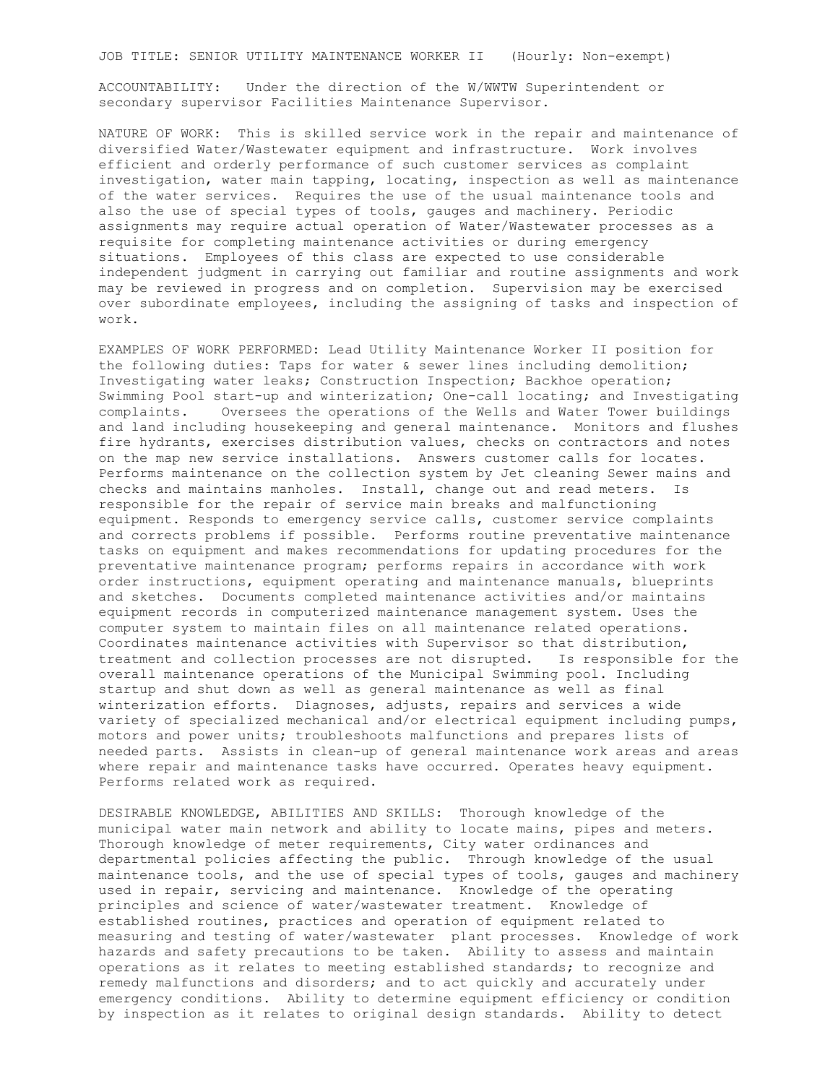JOB TITLE: SENIOR UTILITY MAINTENANCE WORKER II (Hourly: Non-exempt)

ACCOUNTABILITY: Under the direction of the W/WWTW Superintendent or secondary supervisor Facilities Maintenance Supervisor.

NATURE OF WORK: This is skilled service work in the repair and maintenance of diversified Water/Wastewater equipment and infrastructure. Work involves efficient and orderly performance of such customer services as complaint investigation, water main tapping, locating, inspection as well as maintenance of the water services. Requires the use of the usual maintenance tools and also the use of special types of tools, gauges and machinery. Periodic assignments may require actual operation of Water/Wastewater processes as a requisite for completing maintenance activities or during emergency situations. Employees of this class are expected to use considerable independent judgment in carrying out familiar and routine assignments and work may be reviewed in progress and on completion. Supervision may be exercised over subordinate employees, including the assigning of tasks and inspection of work.

EXAMPLES OF WORK PERFORMED: Lead Utility Maintenance Worker II position for the following duties: Taps for water & sewer lines including demolition; Investigating water leaks; Construction Inspection; Backhoe operation; Swimming Pool start-up and winterization; One-call locating; and Investigating complaints. Oversees the operations of the Wells and Water Tower buildings and land including housekeeping and general maintenance. Monitors and flushes fire hydrants, exercises distribution values, checks on contractors and notes on the map new service installations. Answers customer calls for locates. Performs maintenance on the collection system by Jet cleaning Sewer mains and checks and maintains manholes. Install, change out and read meters. Is responsible for the repair of service main breaks and malfunctioning equipment. Responds to emergency service calls, customer service complaints and corrects problems if possible. Performs routine preventative maintenance tasks on equipment and makes recommendations for updating procedures for the preventative maintenance program; performs repairs in accordance with work order instructions, equipment operating and maintenance manuals, blueprints and sketches. Documents completed maintenance activities and/or maintains equipment records in computerized maintenance management system. Uses the computer system to maintain files on all maintenance related operations. Coordinates maintenance activities with Supervisor so that distribution, treatment and collection processes are not disrupted. Is responsible for the overall maintenance operations of the Municipal Swimming pool. Including startup and shut down as well as general maintenance as well as final winterization efforts. Diagnoses, adjusts, repairs and services a wide variety of specialized mechanical and/or electrical equipment including pumps, motors and power units; troubleshoots malfunctions and prepares lists of needed parts. Assists in clean-up of general maintenance work areas and areas where repair and maintenance tasks have occurred. Operates heavy equipment. Performs related work as required.

DESIRABLE KNOWLEDGE, ABILITIES AND SKILLS: Thorough knowledge of the municipal water main network and ability to locate mains, pipes and meters. Thorough knowledge of meter requirements, City water ordinances and departmental policies affecting the public. Through knowledge of the usual maintenance tools, and the use of special types of tools, gauges and machinery used in repair, servicing and maintenance. Knowledge of the operating principles and science of water/wastewater treatment. Knowledge of established routines, practices and operation of equipment related to measuring and testing of water/wastewater plant processes. Knowledge of work hazards and safety precautions to be taken. Ability to assess and maintain operations as it relates to meeting established standards; to recognize and remedy malfunctions and disorders; and to act quickly and accurately under emergency conditions. Ability to determine equipment efficiency or condition by inspection as it relates to original design standards. Ability to detect